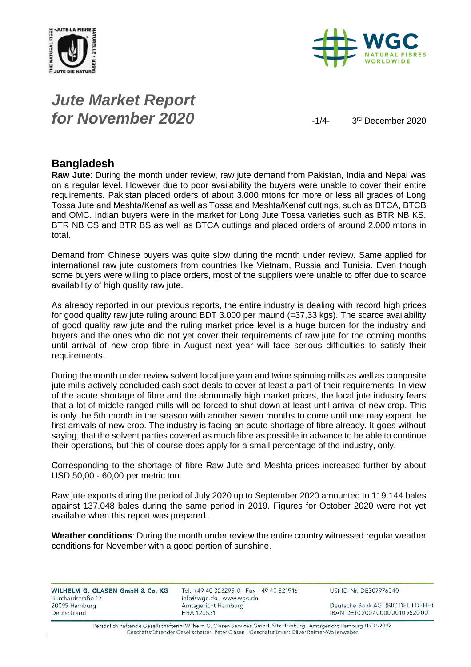



# *Jute Market Report for November 2020*  $\frac{1}{4}$

3<sup>rd</sup> December 2020

#### **Bangladesh**

**Raw Jute**: During the month under review, raw jute demand from Pakistan, India and Nepal was on a regular level. However due to poor availability the buyers were unable to cover their entire requirements. Pakistan placed orders of about 3.000 mtons for more or less all grades of Long Tossa Jute and Meshta/Kenaf as well as Tossa and Meshta/Kenaf cuttings, such as BTCA, BTCB and OMC. Indian buyers were in the market for Long Jute Tossa varieties such as BTR NB KS, BTR NB CS and BTR BS as well as BTCA cuttings and placed orders of around 2.000 mtons in total.

Demand from Chinese buyers was quite slow during the month under review. Same applied for international raw jute customers from countries like Vietnam, Russia and Tunisia. Even though some buyers were willing to place orders, most of the suppliers were unable to offer due to scarce availability of high quality raw jute.

As already reported in our previous reports, the entire industry is dealing with record high prices for good quality raw jute ruling around BDT 3.000 per maund (=37,33 kgs). The scarce availability of good quality raw jute and the ruling market price level is a huge burden for the industry and buyers and the ones who did not yet cover their requirements of raw jute for the coming months until arrival of new crop fibre in August next year will face serious difficulties to satisfy their requirements.

During the month under review solvent local jute yarn and twine spinning mills as well as composite jute mills actively concluded cash spot deals to cover at least a part of their requirements. In view of the acute shortage of fibre and the abnormally high market prices, the local jute industry fears that a lot of middle ranged mills will be forced to shut down at least until arrival of new crop. This is only the 5th month in the season with another seven months to come until one may expect the first arrivals of new crop. The industry is facing an acute shortage of fibre already. It goes without saying, that the solvent parties covered as much fibre as possible in advance to be able to continue their operations, but this of course does apply for a small percentage of the industry, only.

Corresponding to the shortage of fibre Raw Jute and Meshta prices increased further by about USD 50,00 - 60,00 per metric ton.

Raw jute exports during the period of July 2020 up to September 2020 amounted to 119.144 bales against 137.048 bales during the same period in 2019. Figures for October 2020 were not yet available when this report was prepared.

**Weather conditions**: During the month under review the entire country witnessed regular weather conditions for November with a good portion of sunshine.

| WILHELM G. CLASEN GmbH & Co. KG | Tel. +49 40 323295-0 · Fax +49 40 321916 | USt-ID-Nr. DE307976040           |
|---------------------------------|------------------------------------------|----------------------------------|
| Burchardstraße 17               | info@wgc.de · www.wgc.de                 |                                  |
| 20095 Hamburg                   | Amtsgericht Hamburg                      | Deutsche Bank AG (BIC DEUTDEHH)  |
| Deutschland                     | <b>HRA 120531</b>                        | IBAN DE10 2007 0000 0010 9520 00 |
|                                 |                                          |                                  |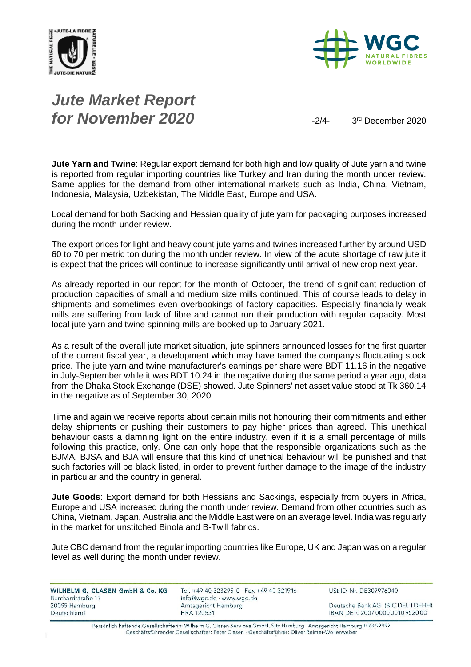



# *Jute Market Report for November 2020*  $\frac{3}{4}$

3<sup>rd</sup> December 2020

**Jute Yarn and Twine**: Regular export demand for both high and low quality of Jute yarn and twine is reported from regular importing countries like Turkey and Iran during the month under review. Same applies for the demand from other international markets such as India, China, Vietnam, Indonesia, Malaysia, Uzbekistan, The Middle East, Europe and USA.

Local demand for both Sacking and Hessian quality of jute yarn for packaging purposes increased during the month under review.

The export prices for light and heavy count jute yarns and twines increased further by around USD 60 to 70 per metric ton during the month under review. In view of the acute shortage of raw jute it is expect that the prices will continue to increase significantly until arrival of new crop next year.

As already reported in our report for the month of October, the trend of significant reduction of production capacities of small and medium size mills continued. This of course leads to delay in shipments and sometimes even overbookings of factory capacities. Especially financially weak mills are suffering from lack of fibre and cannot run their production with regular capacity. Most local jute yarn and twine spinning mills are booked up to January 2021.

As a result of the overall jute market situation, jute spinners announced losses for the first quarter of the current fiscal year, a development which may have tamed the company's fluctuating stock price. The jute yarn and twine manufacturer's earnings per share were BDT 11.16 in the negative in July-September while it was BDT 10.24 in the negative during the same period a year ago, data from the Dhaka Stock Exchange (DSE) showed. Jute Spinners' net asset value stood at Tk 360.14 in the negative as of September 30, 2020.

Time and again we receive reports about certain mills not honouring their commitments and either delay shipments or pushing their customers to pay higher prices than agreed. This unethical behaviour casts a damning light on the entire industry, even if it is a small percentage of mills following this practice, only. One can only hope that the responsible organizations such as the BJMA, BJSA and BJA will ensure that this kind of unethical behaviour will be punished and that such factories will be black listed, in order to prevent further damage to the image of the industry in particular and the country in general.

**Jute Goods**: Export demand for both Hessians and Sackings, especially from buyers in Africa, Europe and USA increased during the month under review. Demand from other countries such as China, Vietnam, Japan, Australia and the Middle East were on an average level. India was regularly in the market for unstitched Binola and B-Twill fabrics.

Jute CBC demand from the regular importing countries like Europe, UK and Japan was on a regular level as well during the month under review.

| WILHELM G. CLASEN GmbH & Co. KG | Tel. +49 40 323295-0 · Fax +49 40 321916 | USt-ID-Nr. DE307976040           |
|---------------------------------|------------------------------------------|----------------------------------|
| Burchardstraße 17               | info@wgc.de · www.wgc.de                 |                                  |
| 20095 Hamburg                   | Amtsgericht Hamburg                      | Deutsche Bank AG (BIC DEUTDEHH)  |
| Deutschland                     | HRA 120531                               | IBAN DE10 2007 0000 0010 9520 00 |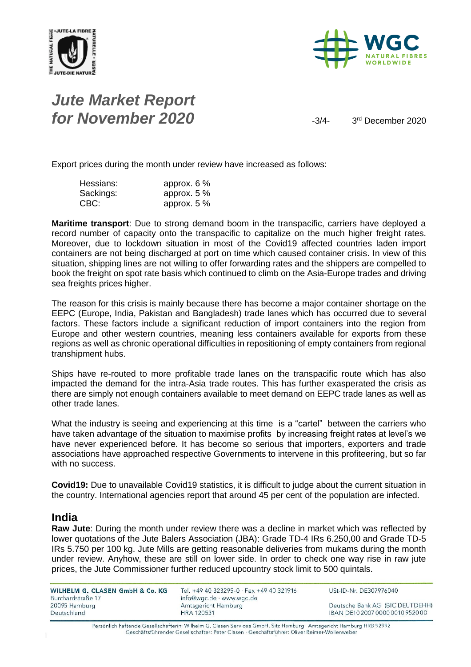



## *Jute Market Report for November 2020*  $\frac{3}{4}$

3<sup>rd</sup> December 2020

Export prices during the month under review have increased as follows:

| Hessians: | approx. $6\%$ |
|-----------|---------------|
| Sackings: | approx. $5\%$ |
| CBC:      | approx. $5\%$ |

**Maritime transport**: Due to strong demand boom in the transpacific, carriers have deployed a record number of capacity onto the transpacific to capitalize on the much higher freight rates. Moreover, due to lockdown situation in most of the Covid19 affected countries laden import containers are not being discharged at port on time which caused container crisis. In view of this situation, shipping lines are not willing to offer forwarding rates and the shippers are compelled to book the freight on spot rate basis which continued to climb on the Asia-Europe trades and driving sea freights prices higher.

The reason for this crisis is mainly because there has become a major container shortage on the EEPC (Europe, India, Pakistan and Bangladesh) trade lanes which has occurred due to several factors. These factors include a significant reduction of import containers into the region from Europe and other western countries, meaning less containers available for exports from these regions as well as chronic operational difficulties in repositioning of empty containers from regional transhipment hubs.

Ships have re-routed to more profitable trade lanes on the transpacific route which has also impacted the demand for the intra-Asia trade routes. This has further exasperated the crisis as there are simply not enough containers available to meet demand on EEPC trade lanes as well as other trade lanes.

What the industry is seeing and experiencing at this time is a "cartel" between the carriers who have taken advantage of the situation to maximise profits by increasing freight rates at level's we have never experienced before. It has become so serious that importers, exporters and trade associations have approached respective Governments to intervene in this profiteering, but so far with no success.

**Covid19:** Due to unavailable Covid19 statistics, it is difficult to judge about the current situation in the country. International agencies report that around 45 per cent of the population are infected.

#### **India**

**Raw Jute**: During the month under review there was a decline in market which was reflected by lower quotations of the Jute Balers Association (JBA): Grade TD-4 IRs 6.250,00 and Grade TD-5 IRs 5.750 per 100 kg. Jute Mills are getting reasonable deliveries from mukams during the month under review. Anyhow, these are still on lower side. In order to check one way rise in raw jute prices, the Jute Commissioner further reduced upcountry stock limit to 500 quintals.

| WILHELM G. CLASEN GmbH & Co. KG<br>Burchardstraße 17 | Tel. +49 40 323295-0 · Fax +49 40 321916<br>info@wgc.de · www.wgc.de | USt-ID-Nr. DE307976040           |
|------------------------------------------------------|----------------------------------------------------------------------|----------------------------------|
| 20095 Hamburg                                        | Amtsgericht Hamburg                                                  | Deutsche Bank AG (BIC DEUTDEHH)  |
| Deutschland                                          | <b>HRA 120531</b>                                                    | IBAN DE10 2007 0000 0010 9520 00 |